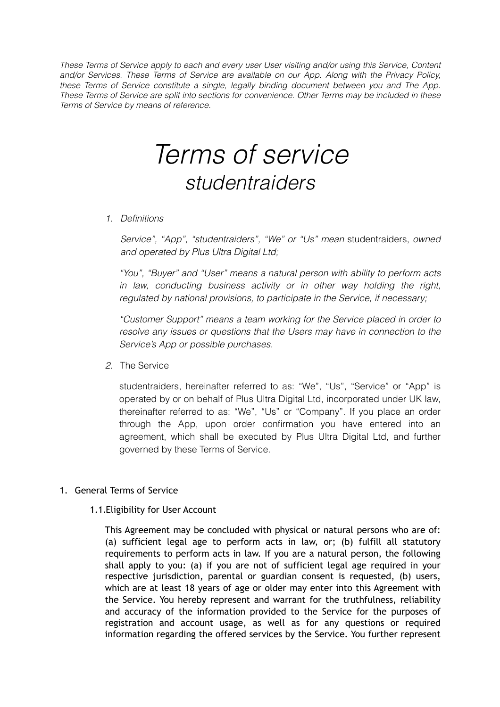*These Terms of Service apply to each and every user User visiting and/or using this Service, Content and/or Services. These Terms of Service are available on our App. Along with the Privacy Policy, these Terms of Service constitute a single, legally binding document between you and The App. These Terms of Service are split into sections for convenience. Other Terms may be included in these Terms of Service by means of reference.* 

# *Terms of service studentraiders*

*1. Definitions* 

*Service", "App", "studentraiders", "We" or "Us" mean* studentraiders, *owned and operated by Plus Ultra Digital Ltd;* 

*"You", "Buyer" and "User" means a natural person with ability to perform acts in law, conducting business activity or in other way holding the right, regulated by national provisions, to participate in the Service, if necessary;* 

*"Customer Support" means a team working for the Service placed in order to resolve any issues or questions that the Users may have in connection to the Service's App or possible purchases.* 

*2.* The Service

studentraiders, hereinafter referred to as: "We", "Us", "Service" or "App" is operated by or on behalf of Plus Ultra Digital Ltd, incorporated under UK law, thereinafter referred to as: "We", "Us" or "Company". If you place an order through the App, upon order confirmation you have entered into an agreement, which shall be executed by Plus Ultra Digital Ltd, and further governed by these Terms of Service.

- 1. General Terms of Service
	- 1.1.Eligibility for User Account

This Agreement may be concluded with physical or natural persons who are of: (a) sufficient legal age to perform acts in law, or; (b) fulfill all statutory requirements to perform acts in law. If you are a natural person, the following shall apply to you: (a) if you are not of sufficient legal age required in your respective jurisdiction, parental or guardian consent is requested, (b) users, which are at least 18 years of age or older may enter into this Agreement with the Service. You hereby represent and warrant for the truthfulness, reliability and accuracy of the information provided to the Service for the purposes of registration and account usage, as well as for any questions or required information regarding the offered services by the Service. You further represent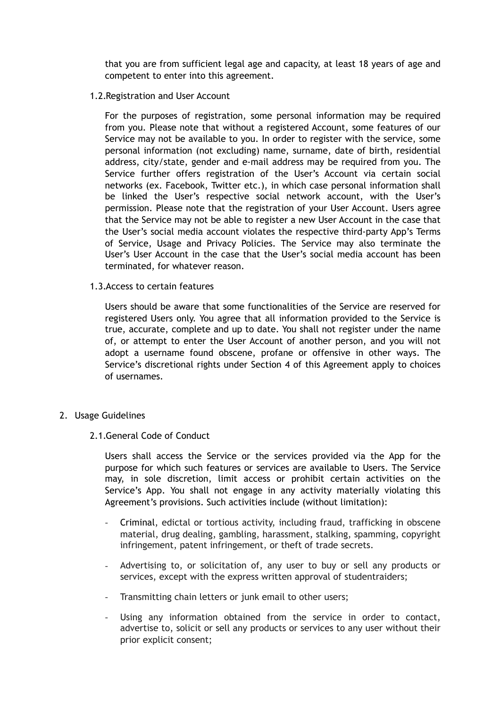that you are from sufficient legal age and capacity, at least 18 years of age and competent to enter into this agreement.

1.2.Registration and User Account

For the purposes of registration, some personal information may be required from you. Please note that without a registered Account, some features of our Service may not be available to you. In order to register with the service, some personal information (not excluding) name, surname, date of birth, residential address, city/state, gender and e-mail address may be required from you. The Service further offers registration of the User's Account via certain social networks (ex. Facebook, Twitter etc.), in which case personal information shall be linked the User's respective social network account, with the User's permission. Please note that the registration of your User Account. Users agree that the Service may not be able to register a new User Account in the case that the User's social media account violates the respective third-party App's Terms of Service, Usage and Privacy Policies. The Service may also terminate the User's User Account in the case that the User's social media account has been terminated, for whatever reason.

1.3.Access to certain features

Users should be aware that some functionalities of the Service are reserved for registered Users only. You agree that all information provided to the Service is true, accurate, complete and up to date. You shall not register under the name of, or attempt to enter the User Account of another person, and you will not adopt a username found obscene, profane or offensive in other ways. The Service's discretional rights under Section 4 of this Agreement apply to choices of usernames.

- 2. Usage Guidelines
	- 2.1.General Code of Conduct

Users shall access the Service or the services provided via the App for the purpose for which such features or services are available to Users. The Service may, in sole discretion, limit access or prohibit certain activities on the Service's App. You shall not engage in any activity materially violating this Agreement's provisions. Such activities include (without limitation):

- Criminal, edictal or tortious activity, including fraud, trafficking in obscene material, drug dealing, gambling, harassment, stalking, spamming, copyright infringement, patent infringement, or theft of trade secrets.
- Advertising to, or solicitation of, any user to buy or sell any products or services, except with the express written approval of studentraiders;
- Transmitting chain letters or junk email to other users;
- Using any information obtained from the service in order to contact, advertise to, solicit or sell any products or services to any user without their prior explicit consent;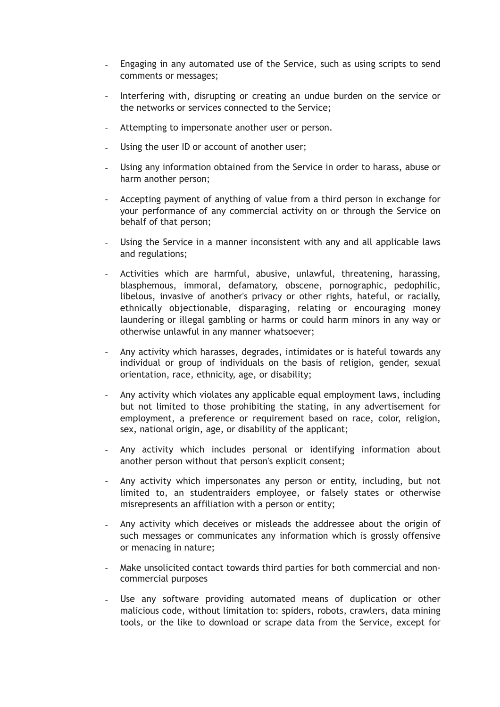- Engaging in any automated use of the Service, such as using scripts to send comments or messages;
- Interfering with, disrupting or creating an undue burden on the service or the networks or services connected to the Service;
- Attempting to impersonate another user or person.
- Using the user ID or account of another user;
- Using any information obtained from the Service in order to harass, abuse or harm another person;
- Accepting payment of anything of value from a third person in exchange for your performance of any commercial activity on or through the Service on behalf of that person;
- Using the Service in a manner inconsistent with any and all applicable laws and regulations;
- Activities which are harmful, abusive, unlawful, threatening, harassing, blasphemous, immoral, defamatory, obscene, pornographic, pedophilic, libelous, invasive of another's privacy or other rights, hateful, or racially, ethnically objectionable, disparaging, relating or encouraging money laundering or illegal gambling or harms or could harm minors in any way or otherwise unlawful in any manner whatsoever;
- Any activity which harasses, degrades, intimidates or is hateful towards any individual or group of individuals on the basis of religion, gender, sexual orientation, race, ethnicity, age, or disability;
- Any activity which violates any applicable equal employment laws, including but not limited to those prohibiting the stating, in any advertisement for employment, a preference or requirement based on race, color, religion, sex, national origin, age, or disability of the applicant;
- Any activity which includes personal or identifying information about another person without that person's explicit consent;
- Any activity which impersonates any person or entity, including, but not limited to, an studentraiders employee, or falsely states or otherwise misrepresents an affiliation with a person or entity;
- Any activity which deceives or misleads the addressee about the origin of such messages or communicates any information which is grossly offensive or menacing in nature;
- Make unsolicited contact towards third parties for both commercial and noncommercial purposes
- Use any software providing automated means of duplication or other malicious code, without limitation to: spiders, robots, crawlers, data mining tools, or the like to download or scrape data from the Service, except for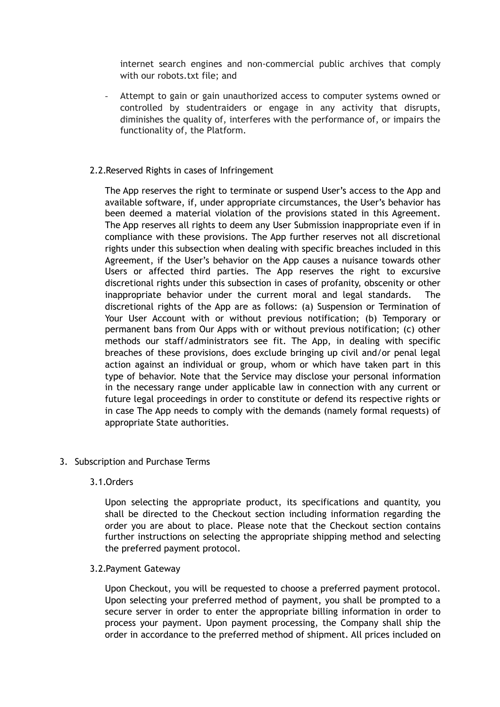internet search engines and non-commercial public archives that comply with our robots.txt file; and

Attempt to gain or gain unauthorized access to computer systems owned or controlled by studentraiders or engage in any activity that disrupts, diminishes the quality of, interferes with the performance of, or impairs the functionality of, the Platform.

# 2.2.Reserved Rights in cases of Infringement

The App reserves the right to terminate or suspend User's access to the App and available software, if, under appropriate circumstances, the User's behavior has been deemed a material violation of the provisions stated in this Agreement. The App reserves all rights to deem any User Submission inappropriate even if in compliance with these provisions. The App further reserves not all discretional rights under this subsection when dealing with specific breaches included in this Agreement, if the User's behavior on the App causes a nuisance towards other Users or affected third parties. The App reserves the right to excursive discretional rights under this subsection in cases of profanity, obscenity or other inappropriate behavior under the current moral and legal standards. discretional rights of the App are as follows: (a) Suspension or Termination of Your User Account with or without previous notification; (b) Temporary or permanent bans from Our Apps with or without previous notification; (c) other methods our staff/administrators see fit. The App, in dealing with specific breaches of these provisions, does exclude bringing up civil and/or penal legal action against an individual or group, whom or which have taken part in this type of behavior. Note that the Service may disclose your personal information in the necessary range under applicable law in connection with any current or future legal proceedings in order to constitute or defend its respective rights or in case The App needs to comply with the demands (namely formal requests) of appropriate State authorities.

3. Subscription and Purchase Terms

## 3.1.Orders

Upon selecting the appropriate product, its specifications and quantity, you shall be directed to the Checkout section including information regarding the order you are about to place. Please note that the Checkout section contains further instructions on selecting the appropriate shipping method and selecting the preferred payment protocol.

## 3.2.Payment Gateway

Upon Checkout, you will be requested to choose a preferred payment protocol. Upon selecting your preferred method of payment, you shall be prompted to a secure server in order to enter the appropriate billing information in order to process your payment. Upon payment processing, the Company shall ship the order in accordance to the preferred method of shipment. All prices included on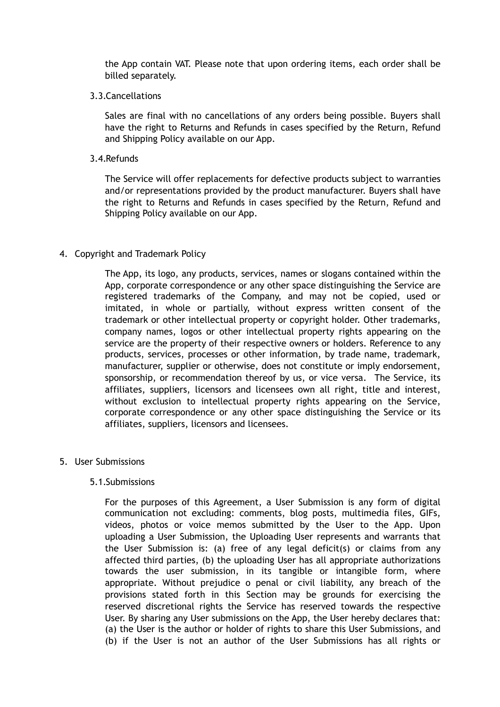the App contain VAT. Please note that upon ordering items, each order shall be billed separately.

3.3.Cancellations

Sales are final with no cancellations of any orders being possible. Buyers shall have the right to Returns and Refunds in cases specified by the Return, Refund and Shipping Policy available on our App.

3.4.Refunds

The Service will offer replacements for defective products subject to warranties and/or representations provided by the product manufacturer. Buyers shall have the right to Returns and Refunds in cases specified by the Return, Refund and Shipping Policy available on our App.

#### 4. Copyright and Trademark Policy

The App, its logo, any products, services, names or slogans contained within the App, corporate correspondence or any other space distinguishing the Service are registered trademarks of the Company, and may not be copied, used or imitated, in whole or partially, without express written consent of the trademark or other intellectual property or copyright holder. Other trademarks, company names, logos or other intellectual property rights appearing on the service are the property of their respective owners or holders. Reference to any products, services, processes or other information, by trade name, trademark, manufacturer, supplier or otherwise, does not constitute or imply endorsement, sponsorship, or recommendation thereof by us, or vice versa. The Service, its affiliates, suppliers, licensors and licensees own all right, title and interest, without exclusion to intellectual property rights appearing on the Service, corporate correspondence or any other space distinguishing the Service or its affiliates, suppliers, licensors and licensees.

#### 5. User Submissions

#### 5.1.Submissions

For the purposes of this Agreement, a User Submission is any form of digital communication not excluding: comments, blog posts, multimedia files, GIFs, videos, photos or voice memos submitted by the User to the App. Upon uploading a User Submission, the Uploading User represents and warrants that the User Submission is: (a) free of any legal deficit(s) or claims from any affected third parties, (b) the uploading User has all appropriate authorizations towards the user submission, in its tangible or intangible form, where appropriate. Without prejudice o penal or civil liability, any breach of the provisions stated forth in this Section may be grounds for exercising the reserved discretional rights the Service has reserved towards the respective User. By sharing any User submissions on the App, the User hereby declares that: (a) the User is the author or holder of rights to share this User Submissions, and (b) if the User is not an author of the User Submissions has all rights or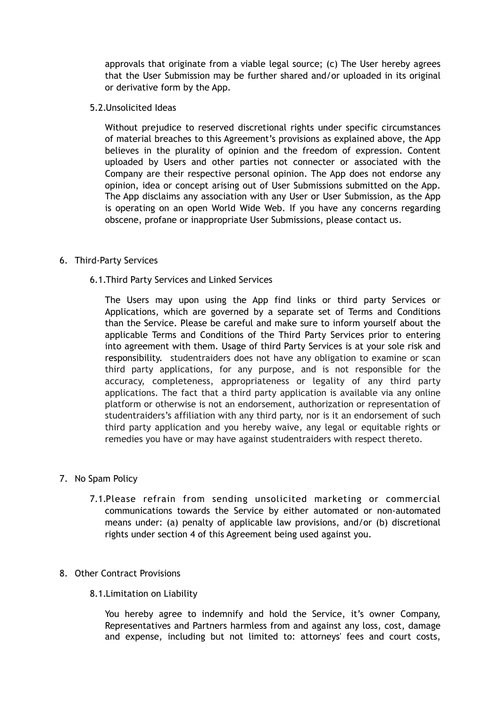approvals that originate from a viable legal source; (c) The User hereby agrees that the User Submission may be further shared and/or uploaded in its original or derivative form by the App.

5.2.Unsolicited Ideas

Without prejudice to reserved discretional rights under specific circumstances of material breaches to this Agreement's provisions as explained above, the App believes in the plurality of opinion and the freedom of expression. Content uploaded by Users and other parties not connecter or associated with the Company are their respective personal opinion. The App does not endorse any opinion, idea or concept arising out of User Submissions submitted on the App. The App disclaims any association with any User or User Submission, as the App is operating on an open World Wide Web. If you have any concerns regarding obscene, profane or inappropriate User Submissions, please contact us.

## 6. Third-Party Services

## 6.1.Third Party Services and Linked Services

The Users may upon using the App find links or third party Services or Applications, which are governed by a separate set of Terms and Conditions than the Service. Please be careful and make sure to inform yourself about the applicable Terms and Conditions of the Third Party Services prior to entering into agreement with them. Usage of third Party Services is at your sole risk and responsibility. studentraiders does not have any obligation to examine or scan third party applications, for any purpose, and is not responsible for the accuracy, completeness, appropriateness or legality of any third party applications. The fact that a third party application is available via any online platform or otherwise is not an endorsement, authorization or representation of studentraiders's affiliation with any third party, nor is it an endorsement of such third party application and you hereby waive, any legal or equitable rights or remedies you have or may have against studentraiders with respect thereto.

## 7. No Spam Policy

7.1.Please refrain from sending unsolicited marketing or commercial communications towards the Service by either automated or non-automated means under: (a) penalty of applicable law provisions, and/or (b) discretional rights under section 4 of this Agreement being used against you.

#### 8. Other Contract Provisions

## 8.1.Limitation on Liability

You hereby agree to indemnify and hold the Service, it's owner Company, Representatives and Partners harmless from and against any loss, cost, damage and expense, including but not limited to: attorneys' fees and court costs,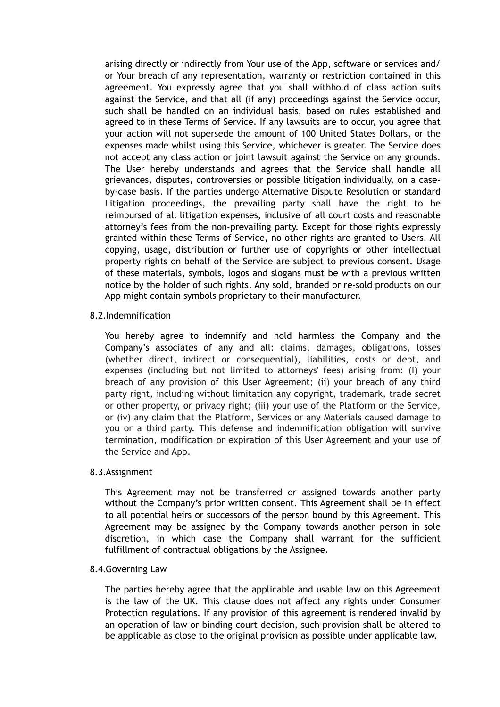arising directly or indirectly from Your use of the App, software or services and/ or Your breach of any representation, warranty or restriction contained in this agreement. You expressly agree that you shall withhold of class action suits against the Service, and that all (if any) proceedings against the Service occur, such shall be handled on an individual basis, based on rules established and agreed to in these Terms of Service. If any lawsuits are to occur, you agree that your action will not supersede the amount of 100 United States Dollars, or the expenses made whilst using this Service, whichever is greater. The Service does not accept any class action or joint lawsuit against the Service on any grounds. The User hereby understands and agrees that the Service shall handle all grievances, disputes, controversies or possible litigation individually, on a caseby-case basis. If the parties undergo Alternative Dispute Resolution or standard Litigation proceedings, the prevailing party shall have the right to be reimbursed of all litigation expenses, inclusive of all court costs and reasonable attorney's fees from the non-prevailing party. Except for those rights expressly granted within these Terms of Service, no other rights are granted to Users. All copying, usage, distribution or further use of copyrights or other intellectual property rights on behalf of the Service are subject to previous consent. Usage of these materials, symbols, logos and slogans must be with a previous written notice by the holder of such rights. Any sold, branded or re-sold products on our App might contain symbols proprietary to their manufacturer.

## 8.2.Indemnification

You hereby agree to indemnify and hold harmless the Company and the Company's associates of any and all: claims, damages, obligations, losses (whether direct, indirect or consequential), liabilities, costs or debt, and expenses (including but not limited to attorneys' fees) arising from: (I) your breach of any provision of this User Agreement; (ii) your breach of any third party right, including without limitation any copyright, trademark, trade secret or other property, or privacy right; (iii) your use of the Platform or the Service, or (iv) any claim that the Platform, Services or any Materials caused damage to you or a third party. This defense and indemnification obligation will survive termination, modification or expiration of this User Agreement and your use of the Service and App.

#### 8.3.Assignment

This Agreement may not be transferred or assigned towards another party without the Company's prior written consent. This Agreement shall be in effect to all potential heirs or successors of the person bound by this Agreement. This Agreement may be assigned by the Company towards another person in sole discretion, in which case the Company shall warrant for the sufficient fulfillment of contractual obligations by the Assignee.

#### 8.4.Governing Law

The parties hereby agree that the applicable and usable law on this Agreement is the law of the UK. This clause does not affect any rights under Consumer Protection regulations. If any provision of this agreement is rendered invalid by an operation of law or binding court decision, such provision shall be altered to be applicable as close to the original provision as possible under applicable law.